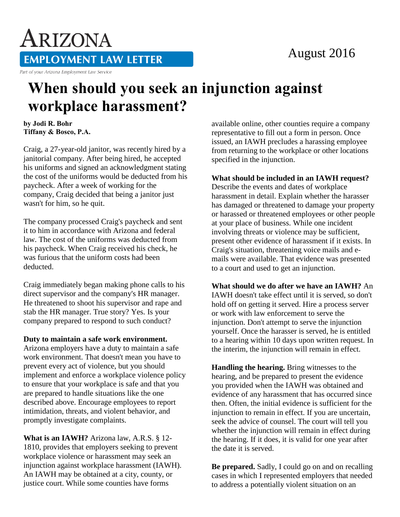### August 2016

# ARIZONA **EMPLOYMENT LAW LETTER**

#### Part of your Arizona Employment Law Service

## **When should you seek an injunction against workplace harassment?**

### **by Jodi R. Bohr Tiffany & Bosco, P.A.**

Craig, a 27-year-old janitor, was recently hired by a janitorial company. After being hired, he accepted his uniforms and signed an acknowledgment stating the cost of the uniforms would be deducted from his paycheck. After a week of working for the company, Craig decided that being a janitor just wasn't for him, so he quit.

The company processed Craig's paycheck and sent it to him in accordance with Arizona and federal law. The cost of the uniforms was deducted from his paycheck. When Craig received his check, he was furious that the uniform costs had been deducted.

Craig immediately began making phone calls to his direct supervisor and the company's HR manager. He threatened to shoot his supervisor and rape and stab the HR manager. True story? Yes. Is your company prepared to respond to such conduct?

### **Duty to maintain a safe work environment.**

Arizona employers have a duty to maintain a safe work environment. That doesn't mean you have to prevent every act of violence, but you should implement and enforce a workplace violence policy to ensure that your workplace is safe and that you are prepared to handle situations like the one described above. Encourage employees to report intimidation, threats, and violent behavior, and promptly investigate complaints.

**What is an IAWH?** Arizona law, A.R.S. § 12- 1810, provides that employers seeking to prevent workplace violence or harassment may seek an injunction against workplace harassment (IAWH). An IAWH may be obtained at a city, county, or justice court. While some counties have forms

available online, other counties require a company representative to fill out a form in person. Once issued, an IAWH precludes a harassing employee from returning to the workplace or other locations specified in the injunction.

### **What should be included in an IAWH request?**

Describe the events and dates of workplace harassment in detail. Explain whether the harasser has damaged or threatened to damage your property or harassed or threatened employees or other people at your place of business. While one incident involving threats or violence may be sufficient, present other evidence of harassment if it exists. In Craig's situation, threatening voice mails and emails were available. That evidence was presented to a court and used to get an injunction.

**What should we do after we have an IAWH?** An IAWH doesn't take effect until it is served, so don't hold off on getting it served. Hire a process server or work with law enforcement to serve the injunction. Don't attempt to serve the injunction yourself. Once the harasser is served, he is entitled to a hearing within 10 days upon written request. In the interim, the injunction will remain in effect.

**Handling the hearing.** Bring witnesses to the hearing, and be prepared to present the evidence you provided when the IAWH was obtained and evidence of any harassment that has occurred since then. Often, the initial evidence is sufficient for the injunction to remain in effect. If you are uncertain, seek the advice of counsel. The court will tell you whether the injunction will remain in effect during the hearing. If it does, it is valid for one year after the date it is served.

**Be prepared.** Sadly, I could go on and on recalling cases in which I represented employers that needed to address a potentially violent situation on an